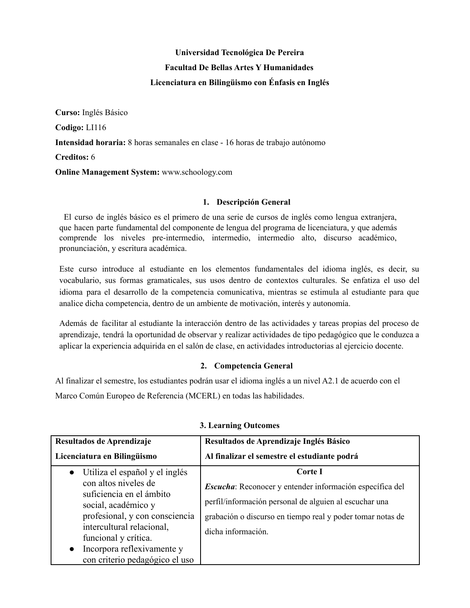# **Universidad Tecnológica De Pereira Facultad De Bellas Artes Y Humanidades Licenciatura en Bilingüismo con Énfasis en Inglés**

**Curso:** Inglés Básico **Codigo:** LI116 **Intensidad horaria:** 8 horas semanales en clase - 16 horas de trabajo autónomo **Creditos:** 6 **Online Management System:** www.schoology.com

#### **1. Descripción General**

El curso de inglés básico es el primero de una serie de cursos de inglés como lengua extranjera, que hacen parte fundamental del componente de lengua del programa de licenciatura, y que además comprende los niveles pre-intermedio, intermedio, intermedio alto, discurso académico, pronunciación, y escritura académica.

Este curso introduce al estudiante en los elementos fundamentales del idioma inglés, es decir, su vocabulario, sus formas gramaticales, sus usos dentro de contextos culturales. Se enfatiza el uso del idioma para el desarrollo de la competencia comunicativa, mientras se estimula al estudiante para que analice dicha competencia, dentro de un ambiente de motivación, interés y autonomía.

Además de facilitar al estudiante la interacción dentro de las actividades y tareas propias del proceso de aprendizaje, tendrá la oportunidad de observar y realizar actividades de tipo pedagógico que le conduzca a aplicar la experiencia adquirida en el salón de clase, en actividades introductorias al ejercicio docente.

## **2. Competencia General**

Al finalizar el semestre, los estudiantes podrán usar el idioma inglés a un nivel A2.1 de acuerdo con el Marco Común Europeo de Referencia (MCERL) en todas las habilidades.

| Resultados de Aprendizaje<br>Licenciatura en Bilingüismo                                                                                                                                                                                                 | Resultados de Aprendizaje Inglés Básico<br>Al finalizar el semestre el estudiante podrá                                                                                                                           |  |
|----------------------------------------------------------------------------------------------------------------------------------------------------------------------------------------------------------------------------------------------------------|-------------------------------------------------------------------------------------------------------------------------------------------------------------------------------------------------------------------|--|
| Utiliza el español y el inglés<br>$\bullet$<br>con altos niveles de<br>suficiencia en el ámbito<br>social, académico y<br>profesional, y con consciencia<br>intercultural relacional,<br>funcional y crítica.<br>Incorpora reflexivamente y<br>$\bullet$ | Corte I<br>Escucha: Reconocer y entender información específica del<br>perfil/información personal de alguien al escuchar una<br>grabación o discurso en tiempo real y poder tomar notas de<br>dicha información. |  |
| con criterio pedagógico el uso                                                                                                                                                                                                                           |                                                                                                                                                                                                                   |  |

#### **3. Learning Outcomes**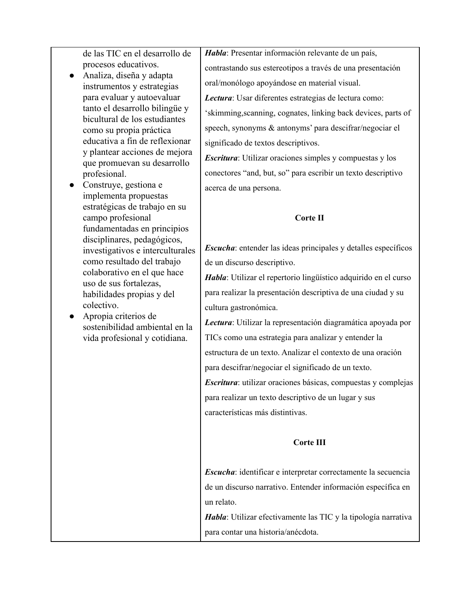de las TIC en el desarrollo de procesos educativos.

- Analiza, diseña y adapta instrumentos y estrategias para evaluar y autoevaluar tanto el desarrollo bilingüe y bicultural de los estudiantes como su propia práctica educativa a fin de reflexionar y plantear acciones de mejora que promuevan su desarrollo profesional.
- Construye, gestiona e implementa propuestas estratégicas de trabajo en su campo profesional fundamentadas en principios disciplinares, pedagógicos, investigativos e interculturales como resultado del trabajo colaborativo en el que hace uso de sus fortalezas, habilidades propias y del colectivo.
- Apropia criterios de sostenibilidad ambiental en la vida profesional y cotidiana.

*Habla*: Presentar información relevante de un país, contrastando sus estereotipos a través de una presentación oral/monólogo apoyándose en material visual. *Lectura*: Usar diferentes estrategias de lectura como: 'skimming,scanning, cognates, linking back devices, parts of

speech, synonyms & antonyms' para descifrar/negociar el significado de textos descriptivos.

*Escritura*: Utilizar oraciones simples y compuestas y los conectores "and, but, so" para escribir un texto descriptivo acerca de una persona.

### **Corte II**

*Escucha*: entender las ideas principales y detalles específicos de un discurso descriptivo.

*Habla*: Utilizar el repertorio lingüístico adquirido en el curso para realizar la presentación descriptiva de una ciudad y su cultura gastronómica.

*Lectura*: Utilizar la representación diagramática apoyada por TICs como una estrategia para analizar y entender la estructura de un texto. Analizar el contexto de una oración para descifrar/negociar el significado de un texto.

*Escritura*: utilizar oraciones básicas, compuestas y complejas para realizar un texto descriptivo de un lugar y sus características más distintivas.

## **Corte III**

*Escucha*: identificar e interpretar correctamente la secuencia de un discurso narrativo. Entender información específica en un relato.

*Habla*: Utilizar efectivamente las TIC y la tipología narrativa para contar una historia/anécdota.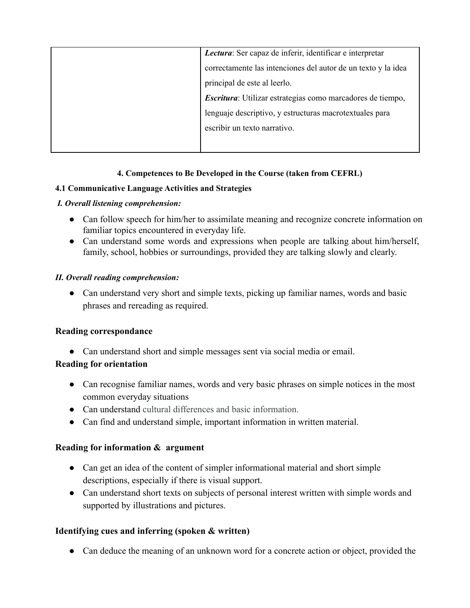| Lectura: Ser capaz de inferir, identificar e interpretar      |
|---------------------------------------------------------------|
| correctamente las intenciones del autor de un texto y la idea |
| principal de este al leerlo.                                  |
| Escritura: Utilizar estrategias como marcadores de tiempo,    |
| lenguaje descriptivo, y estructuras macrotextuales para       |
| escribir un texto narrativo.                                  |
|                                                               |

# **4. Competences to Be Developed in the Course (taken from CEFRL)**

## **4.1 Communicative Language Activities and Strategies**

## *I. Overall listening comprehension:*

- Can follow speech for him/her to assimilate meaning and recognize concrete information on familiar topics encountered in everyday life.
- Can understand some words and expressions when people are talking about him/herself, family, school, hobbies or surroundings, provided they are talking slowly and clearly.

## *II. Overall reading comprehension:*

• Can understand very short and simple texts, picking up familiar names, words and basic phrases and rereading as required.

## **Reading correspondance**

• Can understand short and simple messages sent via social media or email.

# **Reading for orientation**

- Can recognise familiar names, words and very basic phrases on simple notices in the most common everyday situations
- Can understand cultural differences and basic information.
- Can find and understand simple, important information in written material.

# **Reading for information & argument**

- Can get an idea of the content of simpler informational material and short simple descriptions, especially if there is visual support.
- Can understand short texts on subjects of personal interest written with simple words and supported by illustrations and pictures.

# **Identifying cues and inferring (spoken & written)**

**●** Can deduce the meaning of an unknown word for a concrete action or object, provided the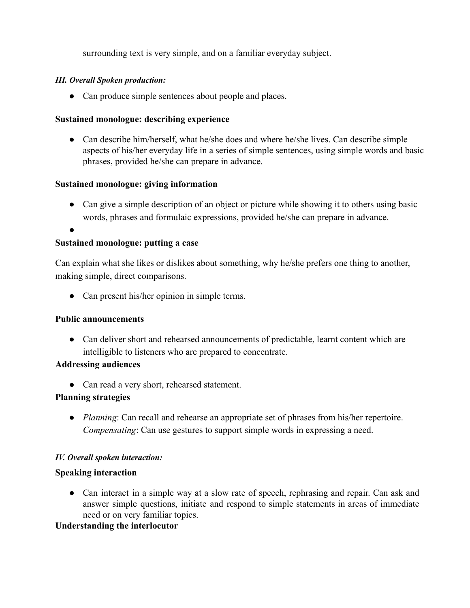surrounding text is very simple, and on a familiar everyday subject.

## *III. Overall Spoken production:*

• Can produce simple sentences about people and places.

## **Sustained monologue: describing experience**

• Can describe him/herself, what he/she does and where he/she lives. Can describe simple aspects of his/her everyday life in a series of simple sentences, using simple words and basic phrases, provided he/she can prepare in advance.

## **Sustained monologue: giving information**

• Can give a simple description of an object or picture while showing it to others using basic words, phrases and formulaic expressions, provided he/she can prepare in advance.

●

### **Sustained monologue: putting a case**

Can explain what she likes or dislikes about something, why he/she prefers one thing to another, making simple, direct comparisons.

• Can present his/her opinion in simple terms.

## **Public announcements**

• Can deliver short and rehearsed announcements of predictable, learnt content which are intelligible to listeners who are prepared to concentrate.

## **Addressing audiences**

• Can read a very short, rehearsed statement.

## **Planning strategies**

**●** *Planning*: Can recall and rehearse an appropriate set of phrases from his/her repertoire. *Compensating*: Can use gestures to support simple words in expressing a need.

#### *IV. Overall spoken interaction:*

#### **Speaking interaction**

• Can interact in a simple way at a slow rate of speech, rephrasing and repair. Can ask and answer simple questions, initiate and respond to simple statements in areas of immediate need or on very familiar topics.

## **Understanding the interlocutor**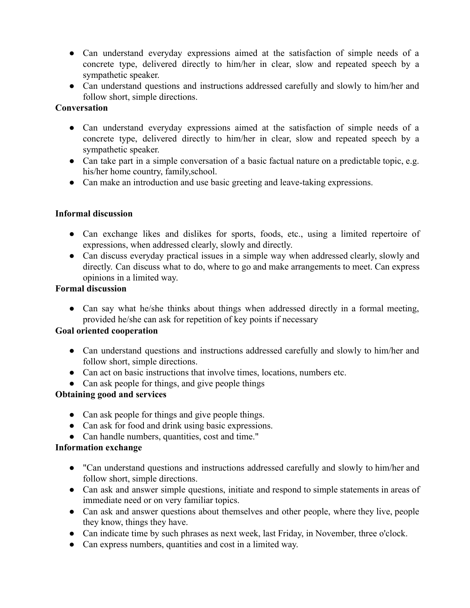- Can understand everyday expressions aimed at the satisfaction of simple needs of a concrete type, delivered directly to him/her in clear, slow and repeated speech by a sympathetic speaker.
- Can understand questions and instructions addressed carefully and slowly to him/her and follow short, simple directions.

## **Conversation**

- Can understand everyday expressions aimed at the satisfaction of simple needs of a concrete type, delivered directly to him/her in clear, slow and repeated speech by a sympathetic speaker.
- Can take part in a simple conversation of a basic factual nature on a predictable topic, e.g. his/her home country, family,school.
- Can make an introduction and use basic greeting and leave-taking expressions.

# **Informal discussion**

- Can exchange likes and dislikes for sports, foods, etc., using a limited repertoire of expressions, when addressed clearly, slowly and directly.
- Can discuss everyday practical issues in a simple way when addressed clearly, slowly and directly. Can discuss what to do, where to go and make arrangements to meet. Can express opinions in a limited way.

## **Formal discussion**

• Can say what he/she thinks about things when addressed directly in a formal meeting, provided he/she can ask for repetition of key points if necessary

## **Goal oriented cooperation**

- Can understand questions and instructions addressed carefully and slowly to him/her and follow short, simple directions.
- Can act on basic instructions that involve times, locations, numbers etc.
- Can ask people for things, and give people things

# **Obtaining good and services**

- Can ask people for things and give people things.
- Can ask for food and drink using basic expressions.
- Can handle numbers, quantities, cost and time."

## **Information exchange**

- "Can understand questions and instructions addressed carefully and slowly to him/her and follow short, simple directions.
- Can ask and answer simple questions, initiate and respond to simple statements in areas of immediate need or on very familiar topics.
- Can ask and answer questions about themselves and other people, where they live, people they know, things they have.
- Can indicate time by such phrases as next week, last Friday, in November, three o'clock.
- Can express numbers, quantities and cost in a limited way.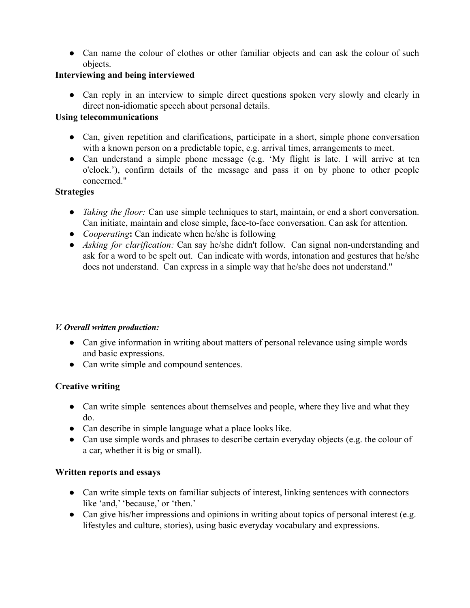• Can name the colour of clothes or other familiar objects and can ask the colour of such objects.

## **Interviewing and being interviewed**

• Can reply in an interview to simple direct questions spoken very slowly and clearly in direct non-idiomatic speech about personal details.

## **Using telecommunications**

- Can, given repetition and clarifications, participate in a short, simple phone conversation with a known person on a predictable topic, e.g. arrival times, arrangements to meet.
- Can understand a simple phone message (e.g. 'My flight is late. I will arrive at ten o'clock.'), confirm details of the message and pass it on by phone to other people concerned."

# **Strategies**

- *Taking the floor:* Can use simple techniques to start, maintain, or end a short conversation. Can initiate, maintain and close simple, face-to-face conversation. Can ask for attention.
- *Cooperating***:** Can indicate when he/she is following
- *Asking for clarification:* Can say he/she didn't follow. Can signal non-understanding and ask for a word to be spelt out. Can indicate with words, intonation and gestures that he/she does not understand. Can express in a simple way that he/she does not understand."

## *V. Overall written production:*

- Can give information in writing about matters of personal relevance using simple words and basic expressions.
- Can write simple and compound sentences.

# **Creative writing**

- Can write simple sentences about themselves and people, where they live and what they do.
- Can describe in simple language what a place looks like.
- Can use simple words and phrases to describe certain everyday objects (e.g. the colour of a car, whether it is big or small).

# **Written reports and essays**

- Can write simple texts on familiar subjects of interest, linking sentences with connectors like 'and,' 'because,' or 'then.'
- Can give his/her impressions and opinions in writing about topics of personal interest (e.g. lifestyles and culture, stories), using basic everyday vocabulary and expressions.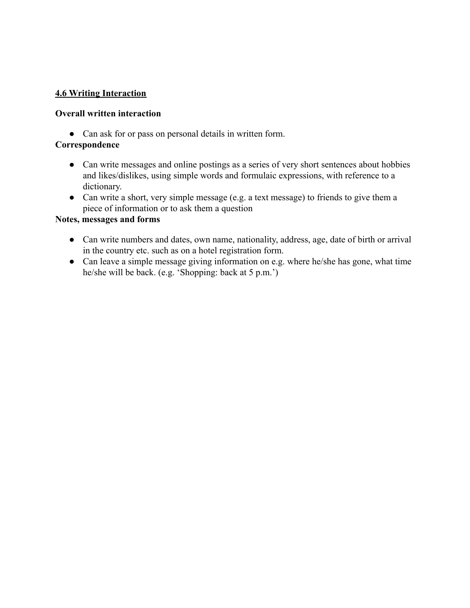## **4.6 Writing Interaction**

#### **Overall written interaction**

• Can ask for or pass on personal details in written form.

## **Correspondence**

- Can write messages and online postings as a series of very short sentences about hobbies and likes/dislikes, using simple words and formulaic expressions, with reference to a dictionary.
- Can write a short, very simple message (e.g. a text message) to friends to give them a piece of information or to ask them a question

### **Notes, messages and forms**

- Can write numbers and dates, own name, nationality, address, age, date of birth or arrival in the country etc. such as on a hotel registration form.
- Can leave a simple message giving information on e.g. where he/she has gone, what time he/she will be back. (e.g. 'Shopping: back at 5 p.m.')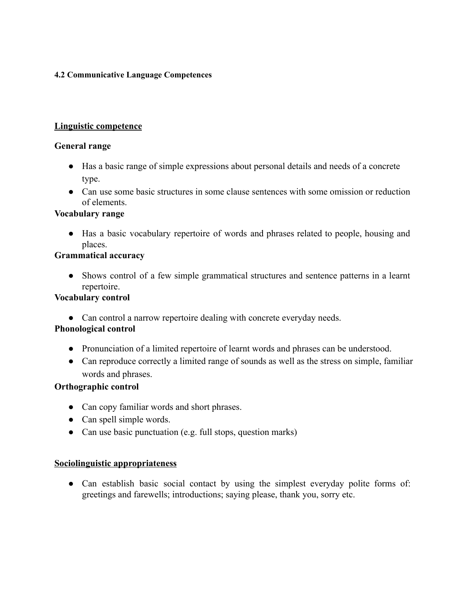### **4.2 Communicative Language Competences**

### **Linguistic competence**

#### **General range**

- Has a basic range of simple expressions about personal details and needs of a concrete type.
- Can use some basic structures in some clause sentences with some omission or reduction of elements.

### **Vocabulary range**

**●** Has a basic vocabulary repertoire of words and phrases related to people, housing and places.

### **Grammatical accuracy**

**●** Shows control of a few simple grammatical structures and sentence patterns in a learnt repertoire.

### **Vocabulary control**

• Can control a narrow repertoire dealing with concrete everyday needs.

## **Phonological control**

- Pronunciation of a limited repertoire of learnt words and phrases can be understood.
- Can reproduce correctly a limited range of sounds as well as the stress on simple, familiar words and phrases.

## **Orthographic control**

- Can copy familiar words and short phrases.
- Can spell simple words.
- **●** Can use basic punctuation (e.g. full stops, question marks)

## **Sociolinguistic appropriateness**

• Can establish basic social contact by using the simplest everyday polite forms of: greetings and farewells; introductions; saying please, thank you, sorry etc.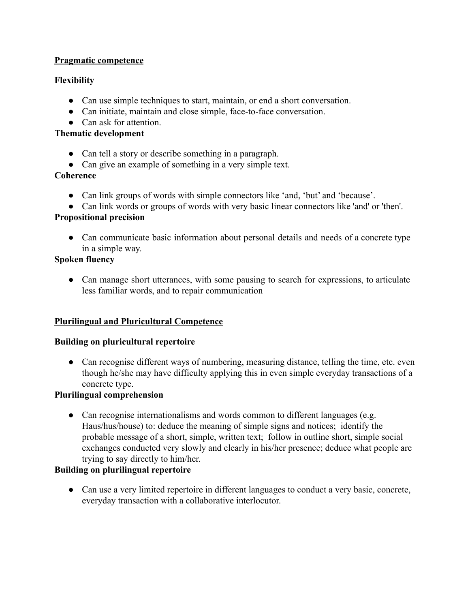## **Pragmatic competence**

# **Flexibility**

- Can use simple techniques to start, maintain, or end a short conversation.
- Can initiate, maintain and close simple, face-to-face conversation.
- Can ask for attention.

## **Thematic development**

- Can tell a story or describe something in a paragraph.
- Can give an example of something in a very simple text.

## **Coherence**

- Can link groups of words with simple connectors like 'and, 'but' and 'because'.
- Can link words or groups of words with very basic linear connectors like 'and' or 'then'.

## **Propositional precision**

• Can communicate basic information about personal details and needs of a concrete type in a simple way.

# **Spoken fluency**

• Can manage short utterances, with some pausing to search for expressions, to articulate less familiar words, and to repair communication

# **Plurilingual and Pluricultural Competence**

## **Building on pluricultural repertoire**

• Can recognise different ways of numbering, measuring distance, telling the time, etc. even though he/she may have difficulty applying this in even simple everyday transactions of a concrete type.

# **Plurilingual comprehension**

• Can recognise internationalisms and words common to different languages (e.g. Haus/hus/house) to: deduce the meaning of simple signs and notices; identify the probable message of a short, simple, written text; follow in outline short, simple social exchanges conducted very slowly and clearly in his/her presence; deduce what people are trying to say directly to him/her.

# **Building on plurilingual repertoire**

● Can use a very limited repertoire in different languages to conduct a very basic, concrete, everyday transaction with a collaborative interlocutor.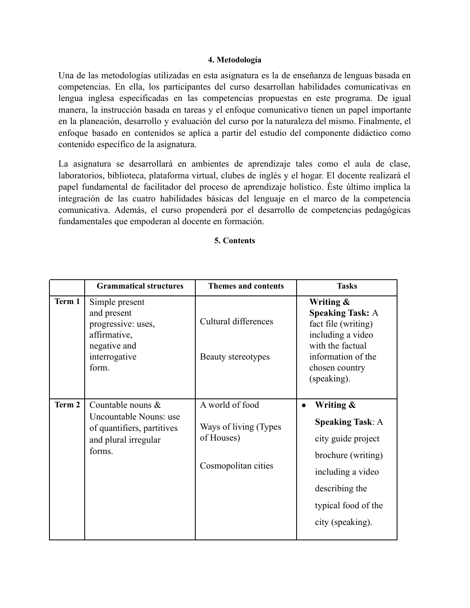#### **4. Metodología**

Una de las metodologías utilizadas en esta asignatura es la de enseñanza de lenguas basada en competencias. En ella, los participantes del curso desarrollan habilidades comunicativas en lengua inglesa especificadas en las competencias propuestas en este programa. De igual manera, la instrucción basada en tareas y el enfoque comunicativo tienen un papel importante en la planeación, desarrollo y evaluación del curso por la naturaleza del mismo. Finalmente, el enfoque basado en contenidos se aplica a partir del estudio del componente didáctico como contenido específico de la asignatura.

La asignatura se desarrollará en ambientes de aprendizaje tales como el aula de clase, laboratorios, biblioteca, plataforma virtual, clubes de inglés y el hogar. El docente realizará el papel fundamental de facilitador del proceso de aprendizaje holístico. Éste último implica la integración de las cuatro habilidades básicas del lenguaje en el marco de la competencia comunicativa. Además, el curso propenderá por el desarrollo de competencias pedagógicas fundamentales que empoderan al docente en formación.

### **5. Contents**

|        | <b>Grammatical structures</b>                                                                                  | <b>Themes and contents</b>                                                    | <b>Tasks</b>                                                                                                                                                                    |
|--------|----------------------------------------------------------------------------------------------------------------|-------------------------------------------------------------------------------|---------------------------------------------------------------------------------------------------------------------------------------------------------------------------------|
| Term 1 | Simple present<br>and present<br>progressive: uses,<br>affirmative,<br>negative and<br>interrogative<br>form.  | Cultural differences<br>Beauty stereotypes                                    | Writing &<br><b>Speaking Task: A</b><br>fact file (writing)<br>including a video<br>with the factual<br>information of the<br>chosen country<br>(speaking).                     |
| Term 2 | Countable nouns $\&$<br>Uncountable Nouns: use<br>of quantifiers, partitives<br>and plural irregular<br>forms. | A world of food<br>Ways of living (Types<br>of Houses)<br>Cosmopolitan cities | Writing &<br>$\bullet$<br><b>Speaking Task: A</b><br>city guide project<br>brochure (writing)<br>including a video<br>describing the<br>typical food of the<br>city (speaking). |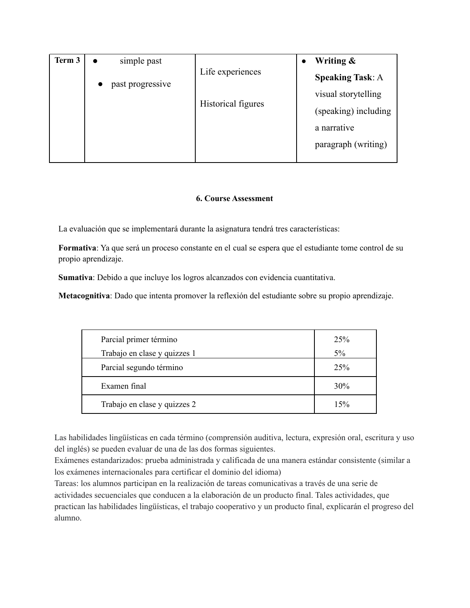| Term 3 | simple past<br>$\bullet$      |                    | Writing &<br>$\bullet$  |
|--------|-------------------------------|--------------------|-------------------------|
|        | past progressive<br>$\bullet$ | Life experiences   | <b>Speaking Task: A</b> |
|        |                               | Historical figures | visual storytelling     |
|        |                               |                    | (speaking) including    |
|        |                               |                    | a narrative             |
|        |                               |                    | paragraph (writing)     |
|        |                               |                    |                         |

#### **6. Course Assessment**

La evaluación que se implementará durante la asignatura tendrá tres características:

**Formativa**: Ya que será un proceso constante en el cual se espera que el estudiante tome control de su propio aprendizaje.

**Sumativa**: Debido a que incluye los logros alcanzados con evidencia cuantitativa.

**Metacognitiva**: Dado que intenta promover la reflexión del estudiante sobre su propio aprendizaje.

| Parcial primer término       | 25% |
|------------------------------|-----|
| Trabajo en clase y quizzes 1 | 5%  |
| Parcial segundo término      | 25% |
| Examen final                 | 30% |
| Trabajo en clase y quizzes 2 | 15% |

Las habilidades lingüísticas en cada término (comprensión auditiva, lectura, expresión oral, escritura y uso del inglés) se pueden evaluar de una de las dos formas siguientes.

Exámenes estandarizados: prueba administrada y calificada de una manera estándar consistente (similar a los exámenes internacionales para certificar el dominio del idioma)

Tareas: los alumnos participan en la realización de tareas comunicativas a través de una serie de actividades secuenciales que conducen a la elaboración de un producto final. Tales actividades, que practican las habilidades lingüísticas, el trabajo cooperativo y un producto final, explicarán el progreso del alumno.